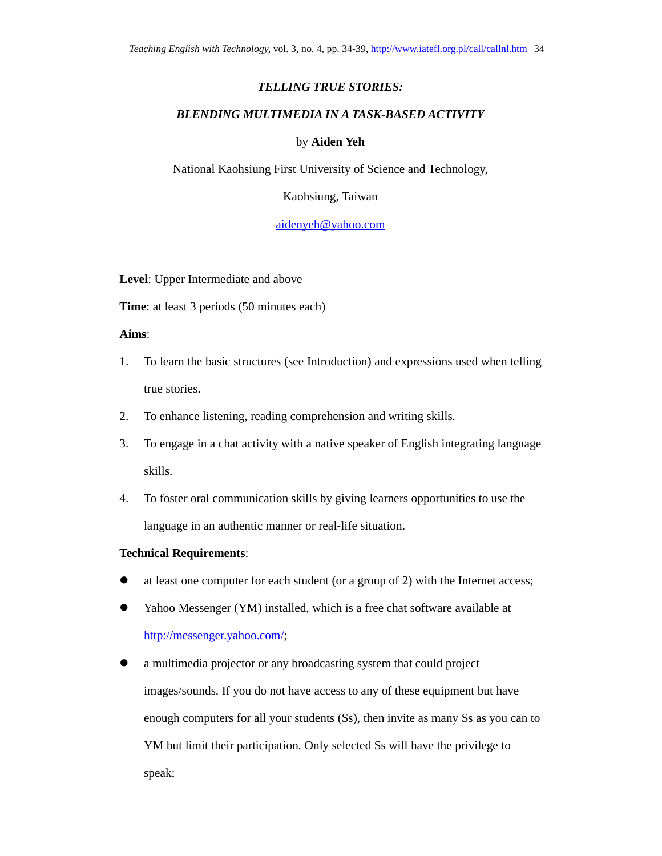# *TELLING TRUE STORIES:*

# *BLENDING MULTIMEDIA IN A TASK-BASED ACTIVITY*

# by **Aiden Yeh**

National Kaohsiung First University of Science and Technology,

Kaohsiung, Taiwan

aidenyeh@yahoo.com

**Level**: Upper Intermediate and above

**Time**: at least 3 periods (50 minutes each)

**Aims**:

- 1. To learn the basic structures (see Introduction) and expressions used when telling true stories.
- 2. To enhance listening, reading comprehension and writing skills.
- 3. To engage in a chat activity with a native speaker of English integrating language skills.
- 4. To foster oral communication skills by giving learners opportunities to use the language in an authentic manner or real-life situation.

## **Technical Requirements**:

- at least one computer for each student (or a group of 2) with the Internet access;
- Yahoo Messenger (YM) installed, which is a free chat software available at http://messenger.yahoo.com/;
- a multimedia projector or any broadcasting system that could project images/sounds. If you do not have access to any of these equipment but have enough computers for all your students (Ss), then invite as many Ss as you can to YM but limit their participation. Only selected Ss will have the privilege to speak;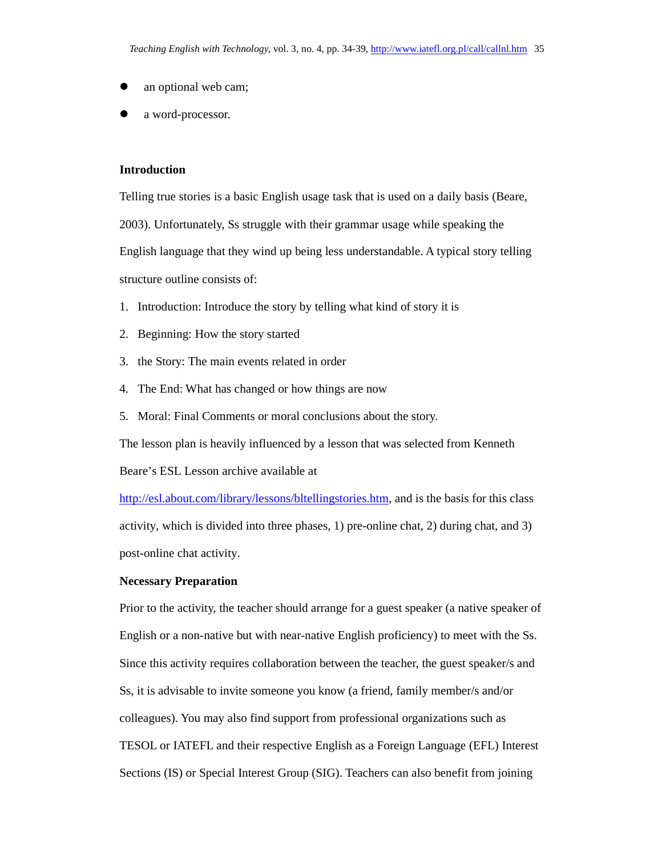- an optional web cam;
- a word-processor.

### **Introduction**

Telling true stories is a basic English usage task that is used on a daily basis (Beare, 2003). Unfortunately, Ss struggle with their grammar usage while speaking the English language that they wind up being less understandable. A typical story telling structure outline consists of:

- 1. Introduction: Introduce the story by telling what kind of story it is
- 2. Beginning: How the story started
- 3. the Story: The main events related in order
- 4. The End: What has changed or how things are now
- 5. Moral: Final Comments or moral conclusions about the story.

The lesson plan is heavily influenced by a lesson that was selected from Kenneth

Beare's ESL Lesson archive available at

http://esl.about.com/library/lessons/bltellingstories.htm, and is the basis for this class activity, which is divided into three phases, 1) pre-online chat, 2) during chat, and 3) post-online chat activity.

#### **Necessary Preparation**

Prior to the activity, the teacher should arrange for a guest speaker (a native speaker of English or a non-native but with near-native English proficiency) to meet with the Ss. Since this activity requires collaboration between the teacher, the guest speaker/s and Ss, it is advisable to invite someone you know (a friend, family member/s and/or colleagues). You may also find support from professional organizations such as TESOL or IATEFL and their respective English as a Foreign Language (EFL) Interest Sections (IS) or Special Interest Group (SIG). Teachers can also benefit from joining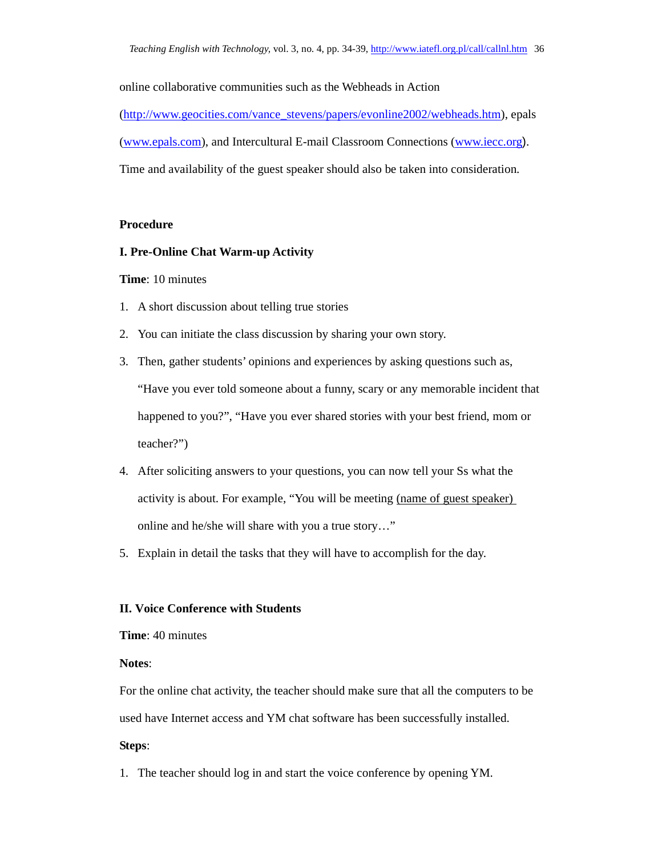online collaborative communities such as the Webheads in Action (http://www.geocities.com/vance\_stevens/papers/evonline2002/webheads.htm), epals (www.epals.com), and Intercultural E-mail Classroom Connections (www.iecc.org). Time and availability of the guest speaker should also be taken into consideration.

#### **Procedure**

#### **I. Pre-Online Chat Warm-up Activity**

#### **Time**: 10 minutes

- 1. A short discussion about telling true stories
- 2. You can initiate the class discussion by sharing your own story.
- 3. Then, gather students' opinions and experiences by asking questions such as, "Have you ever told someone about a funny, scary or any memorable incident that happened to you?", "Have you ever shared stories with your best friend, mom or teacher?")
- 4. After soliciting answers to your questions, you can now tell your Ss what the activity is about. For example, "You will be meeting (name of guest speaker) online and he/she will share with you a true story…"
- 5. Explain in detail the tasks that they will have to accomplish for the day.

# **II. Voice Conference with Students**

**Time**: 40 minutes

## **Notes**:

For the online chat activity, the teacher should make sure that all the computers to be used have Internet access and YM chat software has been successfully installed.

### **Steps**:

1. The teacher should log in and start the voice conference by opening YM.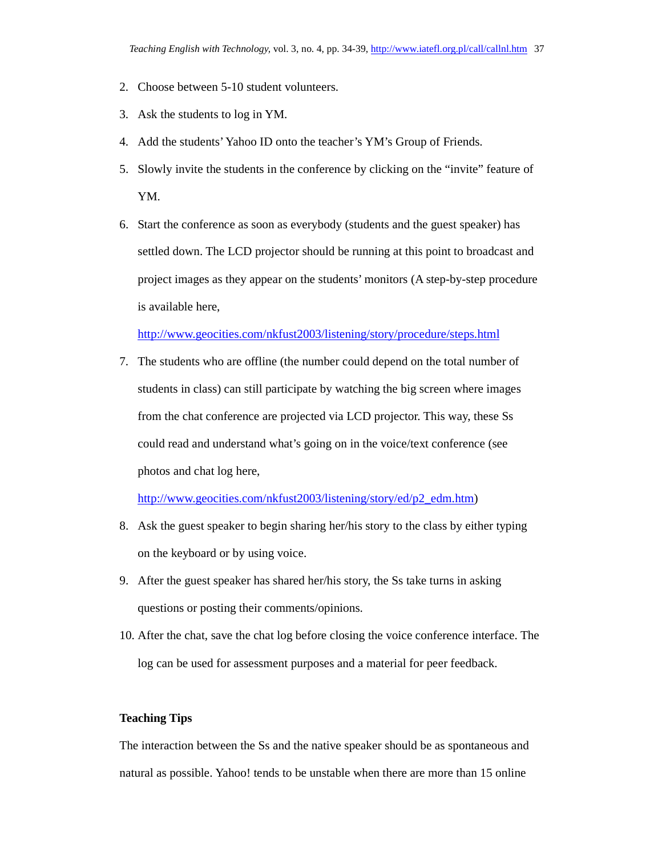- 2. Choose between 5-10 student volunteers.
- 3. Ask the students to log in YM.
- 4. Add the students' Yahoo ID onto the teacher's YM's Group of Friends.
- 5. Slowly invite the students in the conference by clicking on the "invite" feature of YM.
- 6. Start the conference as soon as everybody (students and the guest speaker) has settled down. The LCD projector should be running at this point to broadcast and project images as they appear on the students' monitors (A step-by-step procedure is available here,

#### http://www.geocities.com/nkfust2003/listening/story/procedure/steps.html

7. The students who are offline (the number could depend on the total number of students in class) can still participate by watching the big screen where images from the chat conference are projected via LCD projector. This way, these Ss could read and understand what's going on in the voice/text conference (see photos and chat log here,

http://www.geocities.com/nkfust2003/listening/story/ed/p2\_edm.htm)

- 8. Ask the guest speaker to begin sharing her/his story to the class by either typing on the keyboard or by using voice.
- 9. After the guest speaker has shared her/his story, the Ss take turns in asking questions or posting their comments/opinions.
- 10. After the chat, save the chat log before closing the voice conference interface. The log can be used for assessment purposes and a material for peer feedback.

# **Teaching Tips**

The interaction between the Ss and the native speaker should be as spontaneous and natural as possible. Yahoo! tends to be unstable when there are more than 15 online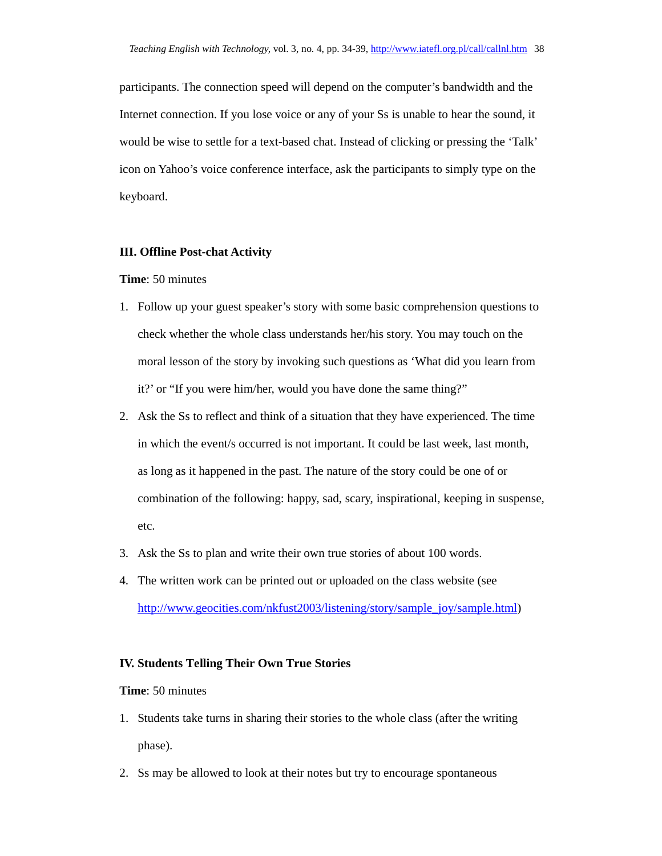participants. The connection speed will depend on the computer's bandwidth and the Internet connection. If you lose voice or any of your Ss is unable to hear the sound, it would be wise to settle for a text-based chat. Instead of clicking or pressing the 'Talk' icon on Yahoo's voice conference interface, ask the participants to simply type on the keyboard.

### **III. Offline Post-chat Activity**

### **Time**: 50 minutes

- 1. Follow up your guest speaker's story with some basic comprehension questions to check whether the whole class understands her/his story. You may touch on the moral lesson of the story by invoking such questions as 'What did you learn from it?' or "If you were him/her, would you have done the same thing?"
- 2. Ask the Ss to reflect and think of a situation that they have experienced. The time in which the event/s occurred is not important. It could be last week, last month, as long as it happened in the past. The nature of the story could be one of or combination of the following: happy, sad, scary, inspirational, keeping in suspense, etc.
- 3. Ask the Ss to plan and write their own true stories of about 100 words.
- 4. The written work can be printed out or uploaded on the class website (see http://www.geocities.com/nkfust2003/listening/story/sample\_joy/sample.html)

#### **IV. Students Telling Their Own True Stories**

# **Time**: 50 minutes

- 1. Students take turns in sharing their stories to the whole class (after the writing phase).
- 2. Ss may be allowed to look at their notes but try to encourage spontaneous